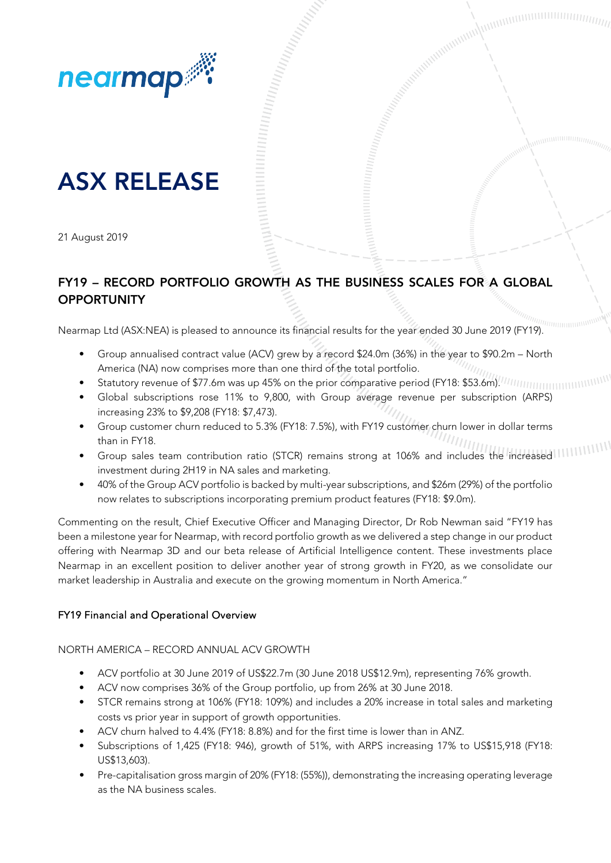

# ASX RELEASE

21 August 2019

## FY19 – RECORD PORTFOLIO GROWTH AS THE BUSINESS SCALES FOR A GLOBAL **OPPORTUNITY**

Acceptant of the Contract of Contract of the Contract of Contract of the Contract of the Contract of Teacher of Teacher and Teacher and Teacher and Teacher and Teacher and Teacher and Teacher and Teacher and Teacher and Te

Nearmap Ltd (ASX:NEA) is pleased to announce its financial results for the year ended 30 June 2019 (FY19).

- Group annualised contract value (ACV) grew by a record \$24.0m (36%) in the year to \$90.2m North America (NA) now comprises more than one third of the total portfolio.
- Statutory revenue of \$77.6m was up 45% on the prior comparative period (FY18: \$53.6m). MINIMINIMINIMINIMINIMI
- Global subscriptions rose 11% to 9,800, with Group average revenue per subscription (ARPS) increasing 23% to \$9,208 (FY18: \$7,473).
- Group customer churn reduced to 5.3% (FY18: 7.5%), with FY19 customer churn lower in dollar terms than in FY18.
- Group sales team contribution ratio (STCR) remains strong at 106% and includes the increased investment during 2H19 in NA sales and marketing.
- 40% of the Group ACV portfolio is backed by multi-year subscriptions, and \$26m (29%) of the portfolio now relates to subscriptions incorporating premium product features (FY18: \$9.0m).

Commenting on the result, Chief Executive Officer and Managing Director, Dr Rob Newman said "FY19 has been a milestone year for Nearmap, with record portfolio growth as we delivered a step change in our product offering with Nearmap 3D and our beta release of Artificial Intelligence content. These investments place Nearmap in an excellent position to deliver another year of strong growth in FY20, as we consolidate our market leadership in Australia and execute on the growing momentum in North America."

### FY19 Financial and Operational Overview

NORTH AMERICA – RECORD ANNUAL ACV GROWTH

- ACV portfolio at 30 June 2019 of US\$22.7m (30 June 2018 US\$12.9m), representing 76% growth.
- ACV now comprises 36% of the Group portfolio, up from 26% at 30 June 2018.
- STCR remains strong at 106% (FY18: 109%) and includes a 20% increase in total sales and marketing costs vs prior year in support of growth opportunities.
- ACV churn halved to 4.4% (FY18: 8.8%) and for the first time is lower than in ANZ.
- Subscriptions of 1,425 (FY18: 946), growth of 51%, with ARPS increasing 17% to US\$15,918 (FY18: US\$13,603).
- Pre-capitalisation gross margin of 20% (FY18: (55%)), demonstrating the increasing operating leverage as the NA business scales.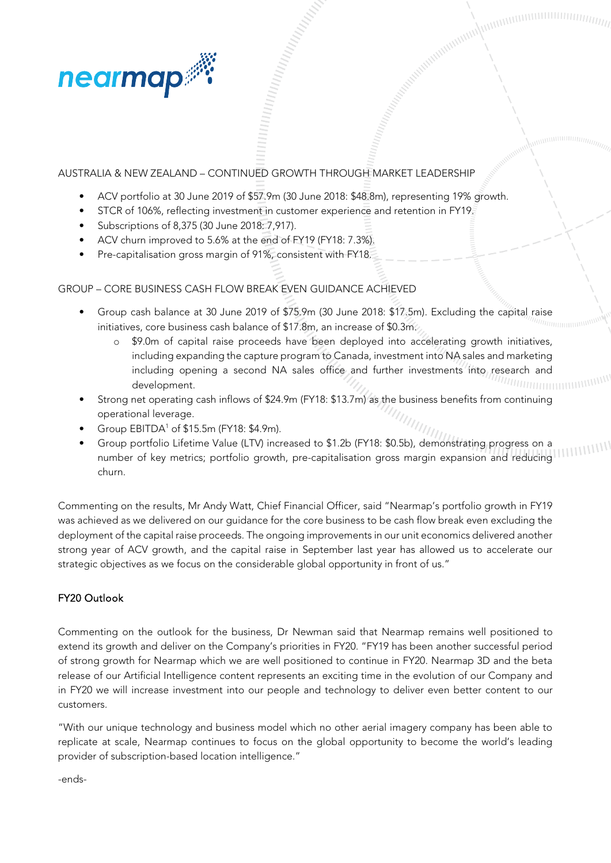

## AUSTRALIA & NEW ZEALAND – CONTINUED GROWTH THROUGH MARKET LEADERSHIP

- ACV portfolio at 30 June 2019 of \$57.9m (30 June 2018: \$48.8m), representing 19% growth.
- STCR of 106%, reflecting investment in customer experience and retention in FY19.
- Subscriptions of 8,375 (30 June 2018: 7,917).
- ACV churn improved to 5.6% at the end of FY19 (FY18: 7.3%).
- Pre-capitalisation gross margin of 91%, consistent with FY18.

GROUP – CORE BUSINESS CASH FLOW BREAK EVEN GUIDANCE ACHIEVED

- Group cash balance at 30 June 2019 of \$75.9m (30 June 2018: \$17.5m). Excluding the capital raise initiatives, core business cash balance of \$17.8m, an increase of \$0.3m.
	- \$9.0m of capital raise proceeds have been deployed into accelerating growth initiatives, including expanding the capture program to Canada, investment into NA sales and marketing including opening a second NA sales office and further investments into research and development.

Accepted Manual Manual Communisties

- Strong net operating cash inflows of \$24.9m (FY18: \$13.7m) as the business benefits from continuing operational leverage.
- Group EBITDA<sup>1</sup> of \$15.5m (FY18: \$4.9m).
- Group portfolio Lifetime Value (LTV) increased to \$1.2b (FY18: \$0.5b), demonstrating progress on a number of key metrics; portfolio growth, pre-capitalisation gross margin expansion and reducing churn.

Commenting on the results, Mr Andy Watt, Chief Financial Officer, said "Nearmap's portfolio growth in FY19 was achieved as we delivered on our guidance for the core business to be cash flow break even excluding the deployment of the capital raise proceeds. The ongoing improvements in our unit economics delivered another strong year of ACV growth, and the capital raise in September last year has allowed us to accelerate our strategic objectives as we focus on the considerable global opportunity in front of us."

### FY20 Outlook

Commenting on the outlook for the business, Dr Newman said that Nearmap remains well positioned to extend its growth and deliver on the Company's priorities in FY20. "FY19 has been another successful period of strong growth for Nearmap which we are well positioned to continue in FY20. Nearmap 3D and the beta release of our Artificial Intelligence content represents an exciting time in the evolution of our Company and in FY20 we will increase investment into our people and technology to deliver even better content to our customers.

"With our unique technology and business model which no other aerial imagery company has been able to replicate at scale, Nearmap continues to focus on the global opportunity to become the world's leading provider of subscription-based location intelligence."

-ends-